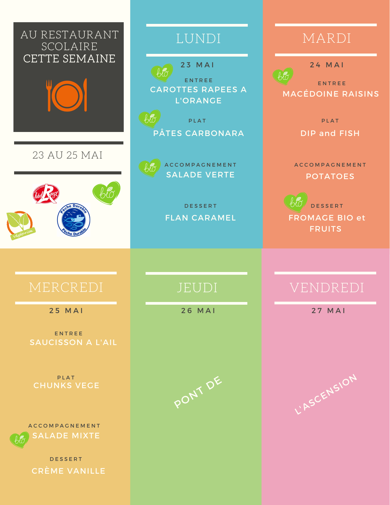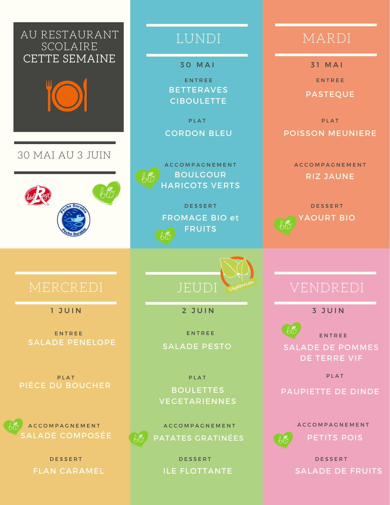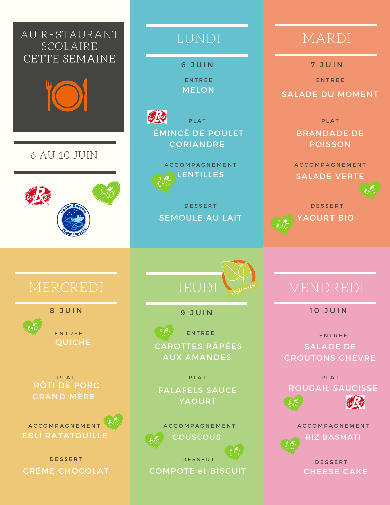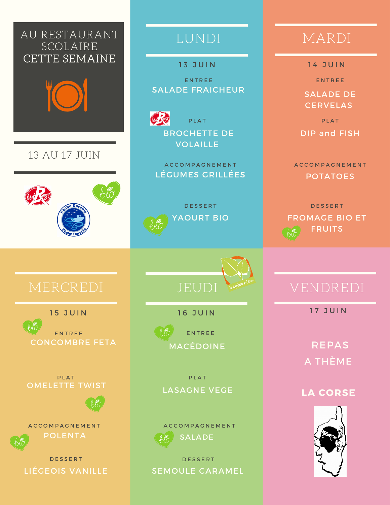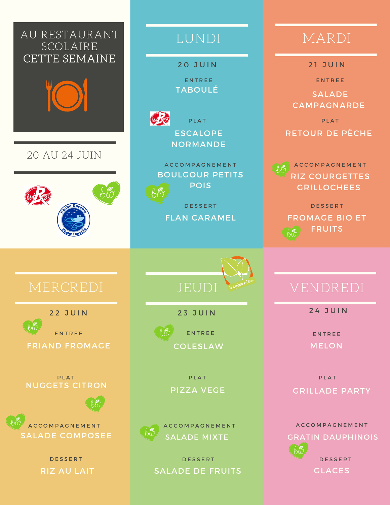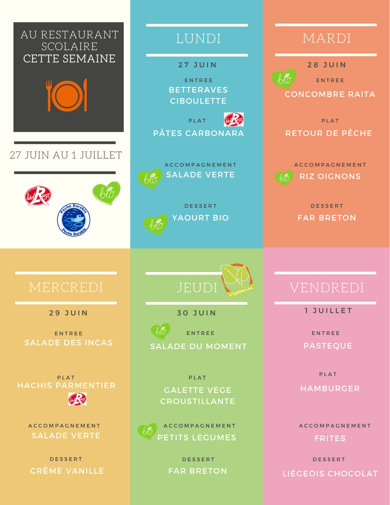